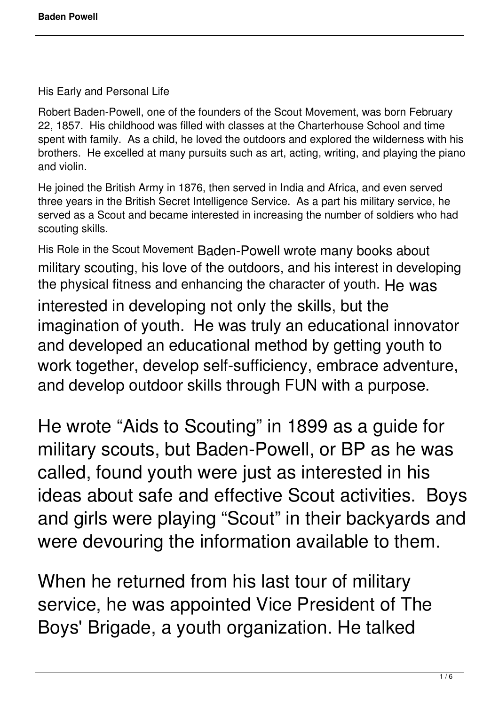His Early and Personal Life

Robert Baden-Powell, one of the founders of the Scout Movement, was born February 22, 1857. His childhood was filled with classes at the Charterhouse School and time spent with family. As a child, he loved the outdoors and explored the wilderness with his brothers. He excelled at many pursuits such as art, acting, writing, and playing the piano and violin.

He joined the British Army in 1876, then served in India and Africa, and even served three years in the British Secret Intelligence Service. As a part his military service, he served as a Scout and became interested in increasing the number of soldiers who had scouting skills.

His Role in the Scout Movement Baden-Powell wrote many books about military scouting, his love of the outdoors, and his interest in developing the physical fitness and enhancing the character of youth. He was interested in developing not only the skills, but the imagination of youth. He was truly an educational innovator and developed an educational method by getting youth to work together, develop self-sufficiency, embrace adventure, and develop outdoor skills through FUN with a purpose.

He wrote "Aids to Scouting" in 1899 as a guide for military scouts, but Baden-Powell, or BP as he was called, found youth were just as interested in his ideas about safe and effective Scout activities. Boys and girls were playing "Scout" in their backyards and were devouring the information available to them.

When he returned from his last tour of military service, he was appointed Vice President of The Boys' Brigade, a youth organization. He talked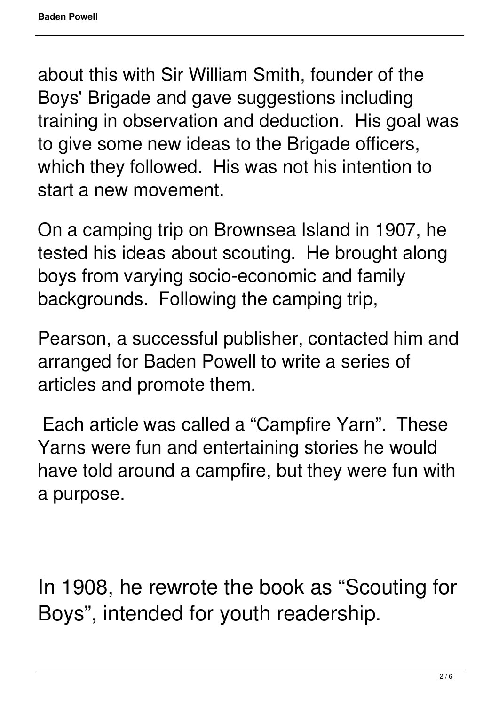about this with Sir William Smith, founder of the Boys' Brigade and gave suggestions including training in observation and deduction. His goal was to give some new ideas to the Brigade officers, which they followed. His was not his intention to start a new movement.

On a camping trip on Brownsea Island in 1907, he tested his ideas about scouting. He brought along boys from varying socio-economic and family backgrounds. Following the camping trip,

Pearson, a successful publisher, contacted him and arranged for Baden Powell to write a series of articles and promote them.

Each article was called a "Campfire Yarn". These Yarns were fun and entertaining stories he would have told around a campfire, but they were fun with a purpose.

In 1908, he rewrote the book as "Scouting for Boys", intended for youth readership.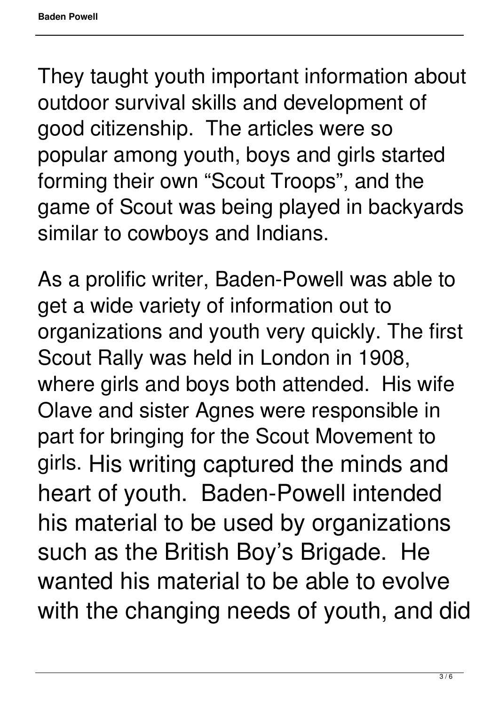They taught youth important information about outdoor survival skills and development of good citizenship. The articles were so popular among youth, boys and girls started forming their own "Scout Troops", and the game of Scout was being played in backyards similar to cowboys and Indians.

As a prolific writer, Baden-Powell was able to get a wide variety of information out to organizations and youth very quickly. The first Scout Rally was held in London in 1908, where girls and boys both attended. His wife Olave and sister Agnes were responsible in part for bringing for the Scout Movement to girls. His writing captured the minds and heart of youth. Baden-Powell intended his material to be used by organizations such as the British Boy's Brigade. He wanted his material to be able to evolve with the changing needs of youth, and did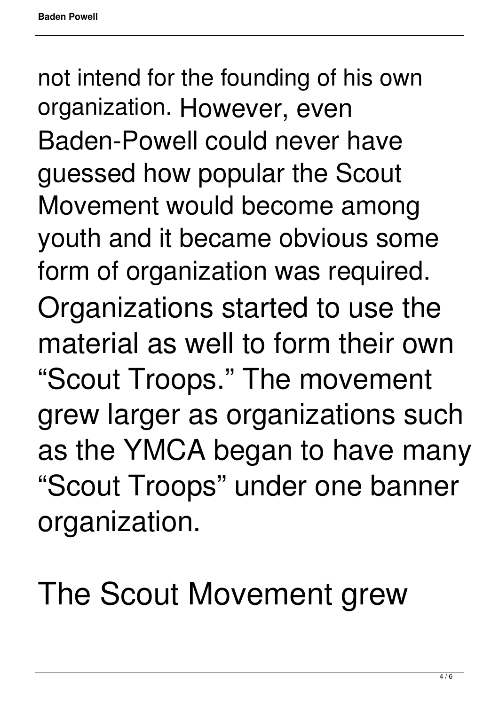not intend for the founding of his own organization. However, even Baden-Powell could never have guessed how popular the Scout Movement would become among youth and it became obvious some form of organization was required. Organizations started to use the material as well to form their own "Scout Troops." The movement grew larger as organizations such as the YMCA began to have many "Scout Troops" under one banner organization.

The Scout Movement grew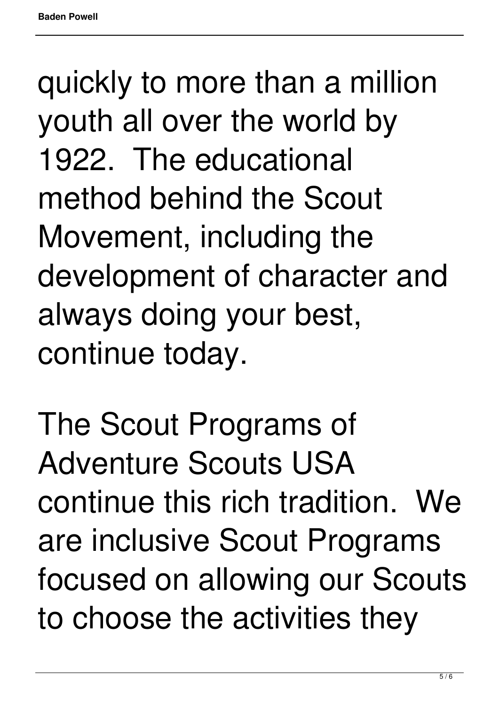quickly to more than a million youth all over the world by 1922. The educational method behind the Scout Movement, including the development of character and always doing your best, continue today.

The Scout Programs of Adventure Scouts USA continue this rich tradition. We are inclusive Scout Programs focused on allowing our Scouts to choose the activities they